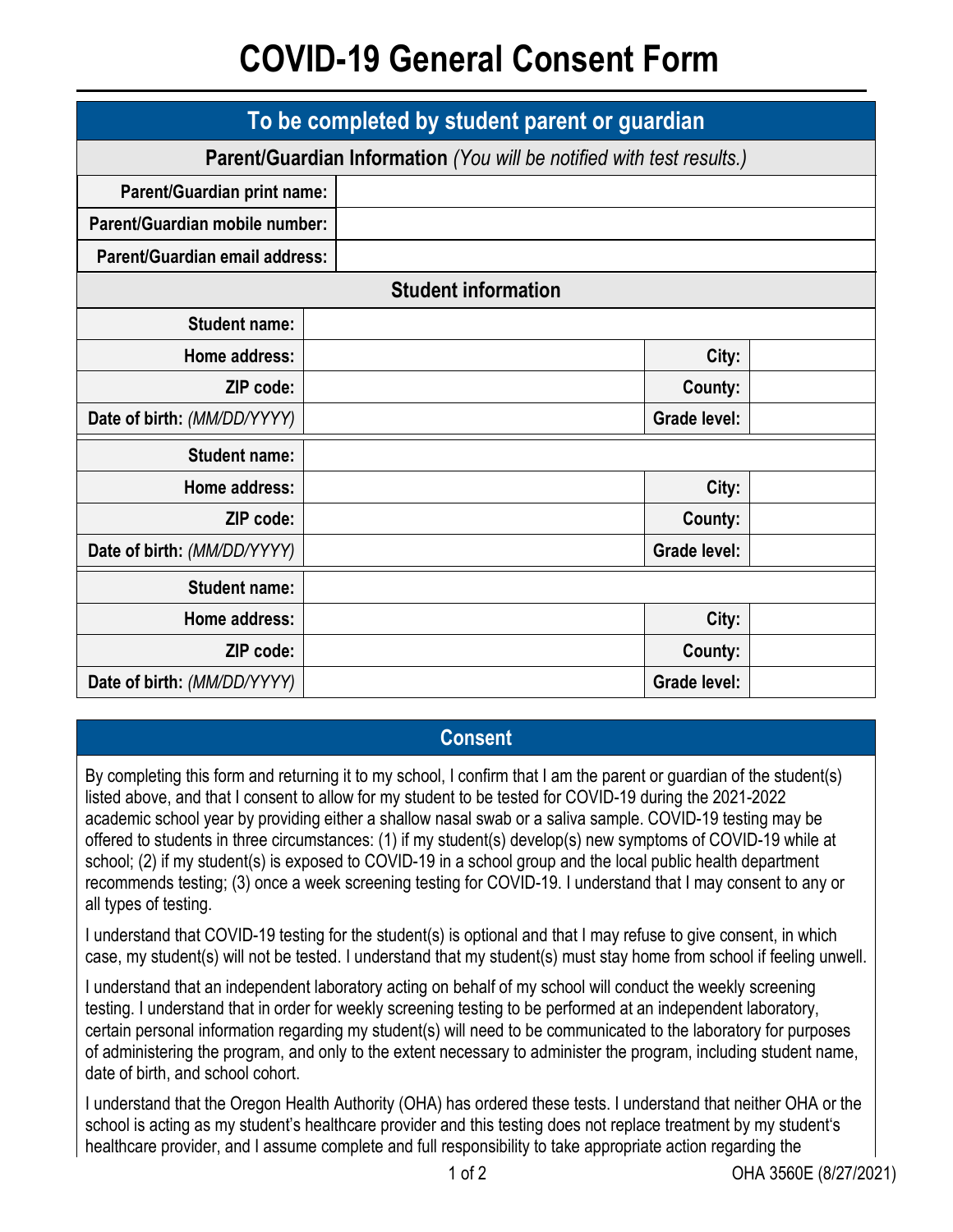## **COVID-19 General Consent Form**

| To be completed by student parent or guardian                         |  |                     |  |  |
|-----------------------------------------------------------------------|--|---------------------|--|--|
| Parent/Guardian Information (You will be notified with test results.) |  |                     |  |  |
| Parent/Guardian print name:                                           |  |                     |  |  |
| Parent/Guardian mobile number:                                        |  |                     |  |  |
| Parent/Guardian email address:                                        |  |                     |  |  |
| <b>Student information</b>                                            |  |                     |  |  |
| <b>Student name:</b>                                                  |  |                     |  |  |
| Home address:                                                         |  | City:               |  |  |
| ZIP code:                                                             |  | County:             |  |  |
| Date of birth: (MM/DD/YYYY)                                           |  | <b>Grade level:</b> |  |  |
| <b>Student name:</b>                                                  |  |                     |  |  |
| Home address:                                                         |  | City:               |  |  |
| ZIP code:                                                             |  | County:             |  |  |
| Date of birth: (MM/DD/YYYY)                                           |  | <b>Grade level:</b> |  |  |
| <b>Student name:</b>                                                  |  |                     |  |  |
| Home address:                                                         |  | City:               |  |  |
| ZIP code:                                                             |  | County:             |  |  |
| Date of birth: (MM/DD/YYYY)                                           |  | <b>Grade level:</b> |  |  |

## **Consent**

By completing this form and returning it to my school, I confirm that I am the parent or guardian of the student(s) listed above, and that I consent to allow for my student to be tested for COVID-19 during the 2021-2022 academic school year by providing either a shallow nasal swab or a saliva sample. COVID-19 testing may be offered to students in three circumstances: (1) if my student(s) develop(s) new symptoms of COVID-19 while at school; (2) if my student(s) is exposed to COVID-19 in a school group and the local public health department recommends testing; (3) once a week screening testing for COVID-19. I understand that I may consent to any or all types of testing.

I understand that COVID-19 testing for the student(s) is optional and that I may refuse to give consent, in which case, my student(s) will not be tested. I understand that my student(s) must stay home from school if feeling unwell.

I understand that an independent laboratory acting on behalf of my school will conduct the weekly screening testing. I understand that in order for weekly screening testing to be performed at an independent laboratory, certain personal information regarding my student(s) will need to be communicated to the laboratory for purposes of administering the program, and only to the extent necessary to administer the program, including student name, date of birth, and school cohort.

I understand that the Oregon Health Authority (OHA) has ordered these tests. I understand that neither OHA or the school is acting as my student's healthcare provider and this testing does not replace treatment by my student's healthcare provider, and I assume complete and full responsibility to take appropriate action regarding the